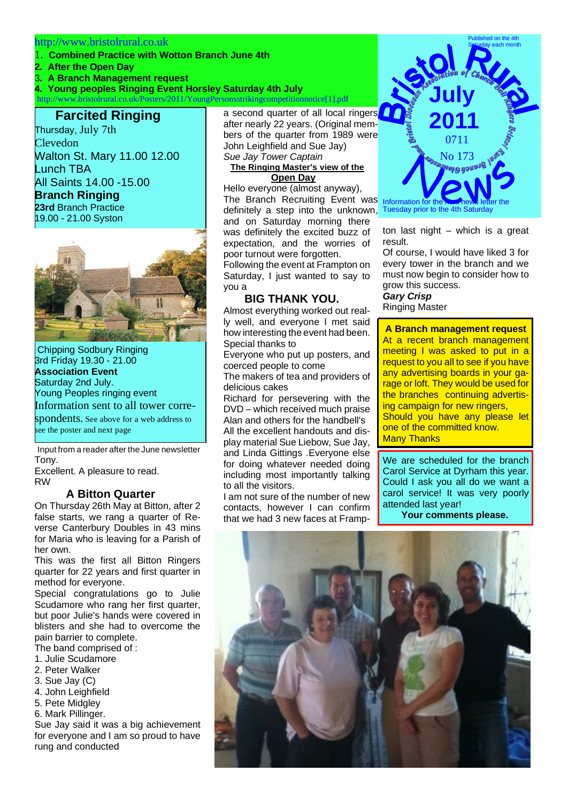#### http://www.bristolrural.co.uk

- 1. **Combined Practice with Wotton Branch June 4th**
- **2. After the Open Day**
- 3**. A Branch Management request**

**4. Young peoples Ringing Event Horsley Saturday 4th July**

http://www.bristolrural.co.uk/Posters/2011/YoungPersonsstrikingcompetitionnotice[1].pdf

# **Farcited Ringing**

Thursday, July 7th Clevedon Walton St. Mary 11.00 12.00 Lunch TBA All Saints 14.00 -15.00 **Branch Ringing 23rd** Branch Practice

19.00 - 21.00 Syston



Chipping Sodbury Ringing 3rd Friday 19.30 - 21.00 **Association Event** Saturday 2nd July. Young Peoples ringing event Information sent to all tower corre-

spondents. See above for a web address to see the poster and next page

 Input from a reader after the June newsletter Tony.

Excellent. A pleasure to read. RW

### **A Bitton Quarter**

On Thursday 26th May at Bitton, after 2 false starts, we rang a quarter of Reverse Canterbury Doubles in 43 mins for Maria who is leaving for a Parish of her own.

This was the first all Bitton Ringers quarter for 22 years and first quarter in method for everyone.

Special congratulations go to Julie Scudamore who rang her first quarter, but poor Julie's hands were covered in blisters and she had to overcome the pain barrier to complete.

- The band comprised of :
- 1. Julie Scudamore
- 2. Peter Walker
- 3. Sue Jay (C)
- 4. John Leighfield
- 5. Pete Midgley
- 6. Mark Pillinger.

Sue Jay said it was a big achievement for everyone and I am so proud to have rung and conducted

a second quarter of all local ringers after nearly 22 years. (Original members of the quarter from 1989 were John Leighfield and Sue Jay) *Sue Jay Tower Captain*

#### **The Ringing Master's view of the Open Day**

Hello everyone (almost anyway), The Branch Recruiting Event was definitely a step into the unknown, and on Saturday morning there was definitely the excited buzz of expectation, and the worries of poor turnout were forgotten. Following the event at Frampton on

Saturday, I just wanted to say to you a

### **BIG THANK YOU.**

Almost everything worked out really well, and everyone I met said how interesting the event had been. Special thanks to

Everyone who put up posters, and coerced people to come

The makers of tea and providers of delicious cakes

Richard for persevering with the DVD – which received much praise Alan and others for the handbell's All the excellent handouts and display material Sue Liebow, Sue Jay, and Linda Gittings .Everyone else for doing whatever needed doing including most importantly talking to all the visitors.

I am not sure of the number of new contacts, however I can confirm that we had 3 new faces at Framp-



ton last night – which is a great result.

Of course, I would have liked 3 for every tower in the branch and we must now begin to consider how to grow this success.

## *Gary Crisp*

Ringing Master

**A Branch management request** At a recent branch management meeting I was asked to put in a request to you all to see if you have any advertising boards in your garage or loft. They would be used for the branches continuing advertising campaign for new ringers, Should you have any please let one of the committed know.

Many Thanks

We are scheduled for the branch Carol Service at Dyrham this year. Could I ask you all do we want a carol service! It was very poorly attended last year!

**Your comments please.**